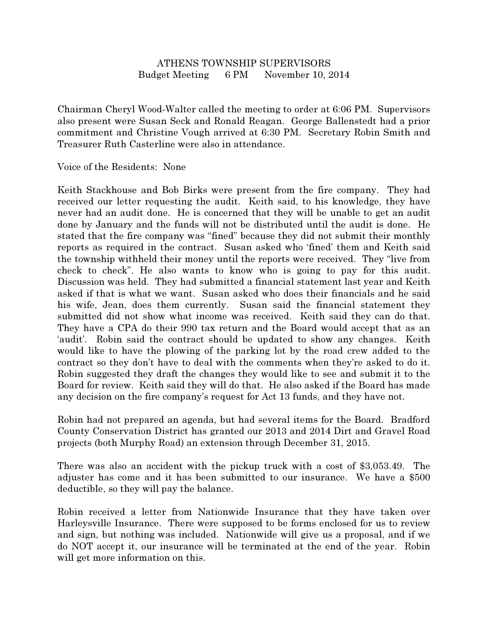## ATHENS TOWNSHIP SUPERVISORS Budget Meeting 6 PM November 10, 2014

Chairman Cheryl Wood-Walter called the meeting to order at 6:06 PM. Supervisors also present were Susan Seck and Ronald Reagan. George Ballenstedt had a prior commitment and Christine Vough arrived at 6:30 PM. Secretary Robin Smith and Treasurer Ruth Casterline were also in attendance.

Voice of the Residents: None

Keith Stackhouse and Bob Birks were present from the fire company. They had received our letter requesting the audit. Keith said, to his knowledge, they have never had an audit done. He is concerned that they will be unable to get an audit done by January and the funds will not be distributed until the audit is done. He stated that the fire company was "fined" because they did not submit their monthly reports as required in the contract. Susan asked who 'fined' them and Keith said the township withheld their money until the reports were received. They "live from check to check". He also wants to know who is going to pay for this audit. Discussion was held. They had submitted a financial statement last year and Keith asked if that is what we want. Susan asked who does their financials and he said his wife, Jean, does them currently. Susan said the financial statement they submitted did not show what income was received. Keith said they can do that. They have a CPA do their 990 tax return and the Board would accept that as an 'audit'. Robin said the contract should be updated to show any changes. Keith would like to have the plowing of the parking lot by the road crew added to the contract so they don't have to deal with the comments when they're asked to do it. Robin suggested they draft the changes they would like to see and submit it to the Board for review. Keith said they will do that. He also asked if the Board has made any decision on the fire company's request for Act 13 funds, and they have not.

Robin had not prepared an agenda, but had several items for the Board. Bradford County Conservation District has granted our 2013 and 2014 Dirt and Gravel Road projects (both Murphy Road) an extension through December 31, 2015.

There was also an accident with the pickup truck with a cost of \$3,053.49. The adjuster has come and it has been submitted to our insurance. We have a \$500 deductible, so they will pay the balance.

Robin received a letter from Nationwide Insurance that they have taken over Harleysville Insurance. There were supposed to be forms enclosed for us to review and sign, but nothing was included. Nationwide will give us a proposal, and if we do NOT accept it, our insurance will be terminated at the end of the year. Robin will get more information on this.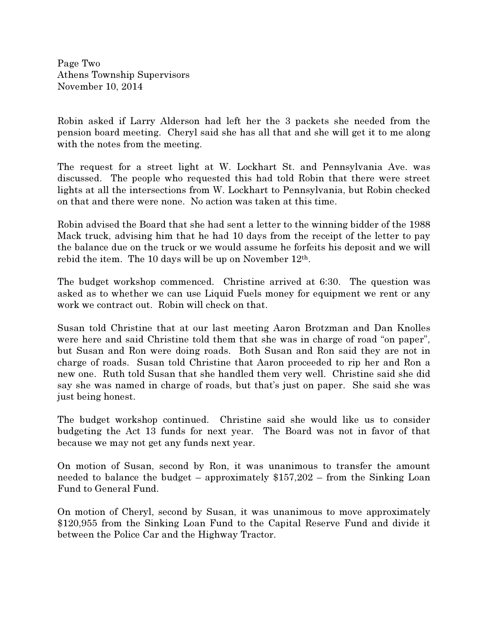Page Two Athens Township Supervisors November 10, 2014

Robin asked if Larry Alderson had left her the 3 packets she needed from the pension board meeting. Cheryl said she has all that and she will get it to me along with the notes from the meeting.

The request for a street light at W. Lockhart St. and Pennsylvania Ave. was discussed. The people who requested this had told Robin that there were street lights at all the intersections from W. Lockhart to Pennsylvania, but Robin checked on that and there were none. No action was taken at this time.

Robin advised the Board that she had sent a letter to the winning bidder of the 1988 Mack truck, advising him that he had 10 days from the receipt of the letter to pay the balance due on the truck or we would assume he forfeits his deposit and we will rebid the item. The 10 days will be up on November  $12<sup>th</sup>$ .

The budget workshop commenced. Christine arrived at 6:30. The question was asked as to whether we can use Liquid Fuels money for equipment we rent or any work we contract out. Robin will check on that.

Susan told Christine that at our last meeting Aaron Brotzman and Dan Knolles were here and said Christine told them that she was in charge of road "on paper", but Susan and Ron were doing roads. Both Susan and Ron said they are not in charge of roads. Susan told Christine that Aaron proceeded to rip her and Ron a new one. Ruth told Susan that she handled them very well. Christine said she did say she was named in charge of roads, but that's just on paper. She said she was just being honest.

The budget workshop continued. Christine said she would like us to consider budgeting the Act 13 funds for next year. The Board was not in favor of that because we may not get any funds next year.

On motion of Susan, second by Ron, it was unanimous to transfer the amount needed to balance the budget – approximately \$157,202 – from the Sinking Loan Fund to General Fund.

On motion of Cheryl, second by Susan, it was unanimous to move approximately \$120,955 from the Sinking Loan Fund to the Capital Reserve Fund and divide it between the Police Car and the Highway Tractor.